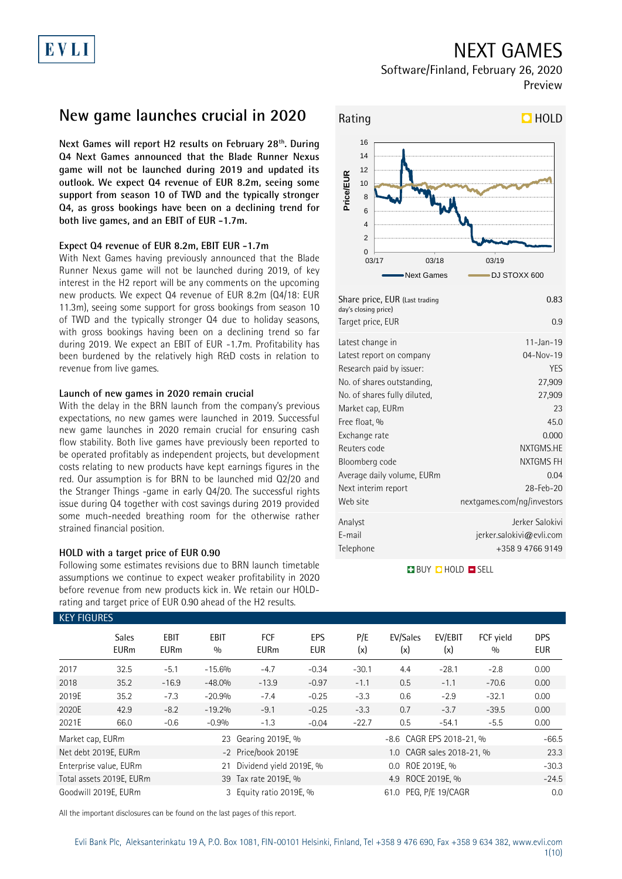### NEXT GAMES

Software/Finland, February 26, 2020 Preview

### **New game launches crucial in 2020**

**Next Games will report H2 results on February 28th . During Q4 Next Games announced that the Blade Runner Nexus game will not be launched during 2019 and updated its outlook. We expect Q4 revenue of EUR 8.2m, seeing some support from season 10 of TWD and the typically stronger Q4, as gross bookings have been on a declining trend for both live games, and an EBIT of EUR -1.7m.**

### **Expect Q4 revenue of EUR 8.2m, EBIT EUR -1.7m**

With Next Games having previously announced that the Blade Runner Nexus game will not be launched during 2019, of key interest in the H2 report will be any comments on the upcoming new products. We expect Q4 revenue of EUR 8.2m (Q4/18: EUR 11.3m), seeing some support for gross bookings from season 10 of TWD and the typically stronger Q4 due to holiday seasons, with gross bookings having been on a declining trend so far during 2019. We expect an EBIT of EUR -1.7m. Profitability has been burdened by the relatively high R&D costs in relation to revenue from live games.

### **Launch of new games in 2020 remain crucial**

With the delay in the BRN launch from the company's previous expectations, no new games were launched in 2019. Successful new game launches in 2020 remain crucial for ensuring cash flow stability. Both live games have previously been reported to be operated profitably as independent projects, but development costs relating to new products have kept earnings figures in the red. Our assumption is for BRN to be launched mid Q2/20 and the Stranger Things -game in early Q4/20. The successful rights issue during Q4 together with cost savings during 2019 provided some much-needed breathing room for the otherwise rather strained financial position.

### **HOLD with a target price of EUR 0.90**

Following some estimates revisions due to BRN launch timetable assumptions we continue to expect weaker profitability in 2020 before revenue from new products kick in. We retain our HOLDrating and target price of EUR 0.90 ahead of the H2 results.



| Share price, EUR (Last trading<br>day's closing price)<br>Target price, EUR | 0.83<br>0.9                |
|-----------------------------------------------------------------------------|----------------------------|
| Latest change in                                                            | $11 - Jan - 19$            |
| Latest report on company                                                    | 04-Nov-19                  |
| Research paid by issuer:                                                    | <b>YES</b>                 |
| No. of shares outstanding,                                                  | 27,909                     |
| No. of shares fully diluted,                                                | 27,909                     |
| Market cap, EURm                                                            | 23                         |
| Free float, %                                                               | 45.0                       |
| Exchange rate                                                               | 0.000                      |
| Reuters code                                                                | NXTGMS.HE                  |
| Bloomberg code                                                              | NXTGMS FH                  |
| Average daily volume, EURm                                                  | 0.04                       |
| Next interim report                                                         | $28 - \text{Fe}b - 20$     |
| Web site                                                                    | nextgames.com/ng/investors |
| Analyst                                                                     | Jerker Salokivi            |
| E-mail                                                                      | jerker.salokivi@evli.com   |
| Telephone                                                                   | +358 9 4766 9149           |
|                                                                             |                            |

**BUY QHOLD SELL** 

| <b>KEY FIGURES</b> |                             |                            |                    |                           |                   |                      |                          |                           |                  |                          |
|--------------------|-----------------------------|----------------------------|--------------------|---------------------------|-------------------|----------------------|--------------------------|---------------------------|------------------|--------------------------|
|                    | <b>Sales</b><br><b>EURm</b> | <b>EBIT</b><br><b>EURm</b> | <b>EBIT</b><br>0/0 | <b>FCF</b><br><b>EURm</b> | EPS<br><b>EUR</b> | P/E<br>(x)           | EV/Sales<br>(x)          | EV/EBIT<br>(x)            | FCF vield<br>0/0 | <b>DPS</b><br><b>EUR</b> |
| 2017               | 32.5                        | $-5.1$                     | $-15.6%$           | $-4.7$                    | $-0.34$           | $-30.1$              | 4.4                      | $-28.1$                   | $-2.8$           | 0.00                     |
| 2018               | 35.2                        | $-16.9$                    | $-48.0%$           | $-13.9$                   | $-0.97$           | $-1.1$               | 0.5                      | $-1.1$                    | $-70.6$          | 0.00                     |
| 2019E              | 35.2                        | $-7.3$                     | $-20.9%$           | $-7.4$                    | $-0.25$           | $-3.3$               | 0.6                      | $-2.9$                    | $-32.1$          | 0.00                     |
| 2020E              | 42.9                        | $-8.2$                     | $-19.2%$           | $-9.1$                    | $-0.25$           | $-3.3$               | 0.7                      | $-3.7$                    | $-39.5$          | 0.00                     |
| 2021E              | 66.0                        | $-0.6$                     | $-0.9%$            | $-1.3$                    | $-0.04$           | $-22.7$              | 0.5                      | $-54.1$                   | $-5.5$           | 0.00                     |
| Market cap, EURm   |                             |                            | 23                 | Gearing 2019E, %          |                   |                      | -8.6 CAGR EPS 2018-21, % | $-66.5$                   |                  |                          |
|                    | Net debt 2019E, EURm        |                            |                    | -2 Price/book 2019E       |                   |                      |                          | 1.0 CAGR sales 2018-21, % |                  | 23.3                     |
|                    | Enterprise value, EURm      |                            | 21                 | Dividend yield 2019E, %   |                   |                      | $0.0\,$                  | ROE 2019E, %              |                  | $-30.3$                  |
|                    | Total assets 2019E, EURm    |                            |                    | 39 Tax rate 2019E, %      |                   | ROCE 2019E, %<br>4.9 |                          |                           |                  | $-24.5$                  |
|                    | Goodwill 2019E. EURm        |                            |                    | 3 Equity ratio 2019E, %   |                   |                      | PEG, P/E 19/CAGR         | 0.0                       |                  |                          |

All the important disclosures can be found on the last pages of this report.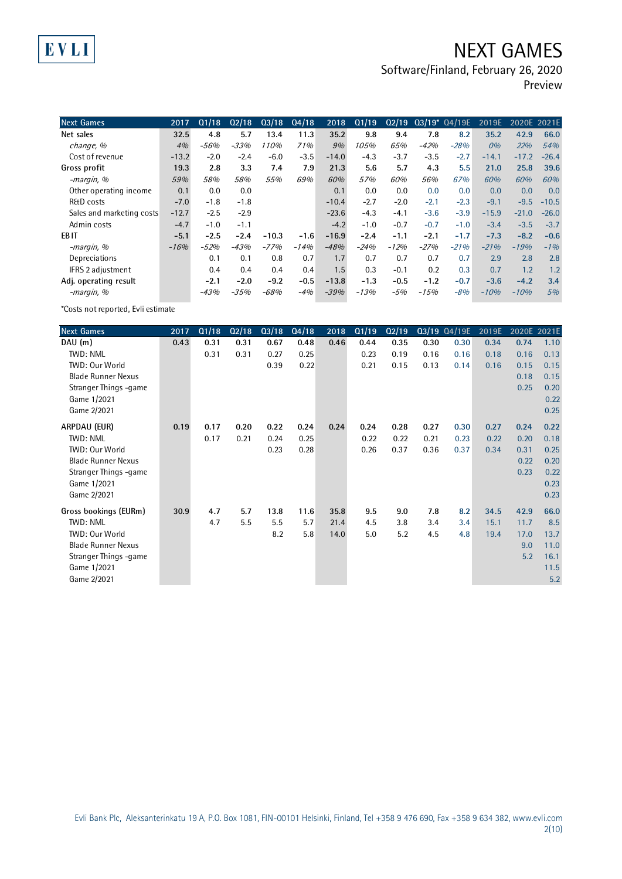## NEXT GAMES

Software/Finland, February 26, 2020

Preview

| <b>Next Games</b>         | 2017    | Q1/18  | Q2/18  | Q3/18   | Q4/18  | 2018    | Q1/19  | Q2/19  |        | 03/19* 04/19E | 2019E   | 2020E 2021E |         |
|---------------------------|---------|--------|--------|---------|--------|---------|--------|--------|--------|---------------|---------|-------------|---------|
| Net sales                 | 32.5    | 4.8    | 5.7    | 13.4    | 11.3   | 35.2    | 9.8    | 9.4    | 7.8    | 8.2           | 35.2    | 42.9        | 66.0    |
| change, %                 | 4%      | $-56%$ | $-33%$ | 110%    | 71%    | 9%      | 105%   | 65%    | $-42%$ | $-28%$        | 0%      | 22%         | 54%     |
| Cost of revenue           | $-13.2$ | $-2.0$ | $-2.4$ | $-6.0$  | $-3.5$ | $-14.0$ | $-4.3$ | $-3.7$ | $-3.5$ | $-2.7$        | $-14.1$ | $-17.2$     | $-26.4$ |
| Gross profit              | 19.3    | 2.8    | 3.3    | 7.4     | 7.9    | 21.3    | 5.6    | 5.7    | 4.3    | 5.5           | 21.0    | 25.8        | 39.6    |
| -margin, %                | 59%     | 58%    | 58%    | 55%     | 69%    | 60%     | 57%    | 60%    | 56%    | 67%           | 60%     | 60%         | 60%     |
| Other operating income    | 0.1     | 0.0    | 0.0    |         |        | 0.1     | 0.0    | 0.0    | 0.0    | 0.0           | 0.0     | 0.0         | 0.0     |
| R&D costs                 | $-7.0$  | $-1.8$ | $-1.8$ |         |        | $-10.4$ | $-2.7$ | $-2.0$ | $-2.1$ | $-2.3$        | $-9.1$  | $-9.5$      | $-10.5$ |
| Sales and marketing costs | $-12.7$ | $-2.5$ | $-2.9$ |         |        | $-23.6$ | $-4.3$ | $-4.1$ | $-3.6$ | $-3.9$        | $-15.9$ | $-21.0$     | $-26.0$ |
| Admin costs               | $-4.7$  | $-1.0$ | $-1.1$ |         |        | $-4.2$  | $-1.0$ | $-0.7$ | $-0.7$ | $-1.0$        | $-3.4$  | $-3.5$      | $-3.7$  |
| EB IT                     | $-5.1$  | $-2.5$ | $-2.4$ | $-10.3$ | $-1.6$ | $-16.9$ | $-2.4$ | $-1.1$ | $-2.1$ | $-1.7$        | $-7.3$  | $-8.2$      | $-0.6$  |
| -margin, %                | $-16%$  | $-52%$ | $-43%$ | $-77%$  | $-14%$ | $-48%$  | $-24%$ | $-12%$ | $-27%$ | $-21%$        | $-21%$  | $-19%$      | $-1%$   |
| Depreciations             |         | 0.1    | 0.1    | 0.8     | 0.7    | 1.7     | 0.7    | 0.7    | 0.7    | 0.7           | 2.9     | 2.8         | 2.8     |
| IFRS 2 adjustment         |         | 0.4    | 0.4    | 0.4     | 0.4    | 1.5     | 0.3    | $-0.1$ | 0.2    | 0.3           | 0.7     | 1.2         | 1.2     |
| Adj. operating result     |         | $-2.1$ | $-2.0$ | $-9.2$  | $-0.5$ | $-13.8$ | $-1.3$ | $-0.5$ | $-1.2$ | $-0.7$        | $-3.6$  | $-4.2$      | 3.4     |
| -margin, %                |         | $-43%$ | $-35%$ | $-68%$  | $-4%$  | $-39%$  | $-13%$ | -5%    | $-15%$ | $-8%$         | $-10%$  | $-10%$      | 5%      |

\*Costs not reported, Evli estimate

EVLI

| <b>Next Games</b>         | 2017 | Q1/18 | Q2/18 | Q3/18 | Q4/18 | 2018 | Q1/19 | Q2/19 |      | $Q3/19$ $Q4/19E$ | 2019E | 2020E 2021E |      |
|---------------------------|------|-------|-------|-------|-------|------|-------|-------|------|------------------|-------|-------------|------|
| DAU (m)                   | 0.43 | 0.31  | 0.31  | 0.67  | 0.48  | 0.46 | 0.44  | 0.35  | 0.30 | 0.30             | 0.34  | 0.74        | 1.10 |
| TWD: NML                  |      | 0.31  | 0.31  | 0.27  | 0.25  |      | 0.23  | 0.19  | 0.16 | 0.16             | 0.18  | 0.16        | 0.13 |
| TWD: Our World            |      |       |       | 0.39  | 0.22  |      | 0.21  | 0.15  | 0.13 | 0.14             | 0.16  | 0.15        | 0.15 |
| <b>Blade Runner Nexus</b> |      |       |       |       |       |      |       |       |      |                  |       | 0.18        | 0.15 |
| Stranger Things -game     |      |       |       |       |       |      |       |       |      |                  |       | 0.25        | 0.20 |
| Game 1/2021               |      |       |       |       |       |      |       |       |      |                  |       |             | 0.22 |
| Game 2/2021               |      |       |       |       |       |      |       |       |      |                  |       |             | 0.25 |
| ARPDAU (EUR)              | 0.19 | 0.17  | 0.20  | 0.22  | 0.24  | 0.24 | 0.24  | 0.28  | 0.27 | 0.30             | 0.27  | 0.24        | 0.22 |
| TWD: NML                  |      | 0.17  | 0.21  | 0.24  | 0.25  |      | 0.22  | 0.22  | 0.21 | 0.23             | 0.22  | 0.20        | 0.18 |
| TWD: Our World            |      |       |       | 0.23  | 0.28  |      | 0.26  | 0.37  | 0.36 | 0.37             | 0.34  | 0.31        | 0.25 |
| <b>Blade Runner Nexus</b> |      |       |       |       |       |      |       |       |      |                  |       | 0.22        | 0.20 |
| Stranger Things -game     |      |       |       |       |       |      |       |       |      |                  |       | 0.23        | 0.22 |
| Game 1/2021               |      |       |       |       |       |      |       |       |      |                  |       |             | 0.23 |
| Game 2/2021               |      |       |       |       |       |      |       |       |      |                  |       |             | 0.23 |
| Gross bookings (EURm)     | 30.9 | 4.7   | 5.7   | 13.8  | 11.6  | 35.8 | 9.5   | 9.0   | 7.8  | 8.2              | 34.5  | 42.9        | 66.0 |
| TWD: NML                  |      | 4.7   | 5.5   | 5.5   | 5.7   | 21.4 | 4.5   | 3.8   | 3.4  | 3.4              | 15.1  | 11.7        | 8.5  |
| TWD: Our World            |      |       |       | 8.2   | 5.8   | 14.0 | 5.0   | 5.2   | 4.5  | 4.8              | 19.4  | 17.0        | 13.7 |
| <b>Blade Runner Nexus</b> |      |       |       |       |       |      |       |       |      |                  |       | 9.0         | 11.0 |
| Stranger Things -game     |      |       |       |       |       |      |       |       |      |                  |       | 5.2         | 16.1 |
| Game 1/2021               |      |       |       |       |       |      |       |       |      |                  |       |             | 11.5 |
| Game 2/2021               |      |       |       |       |       |      |       |       |      |                  |       |             | 5.2  |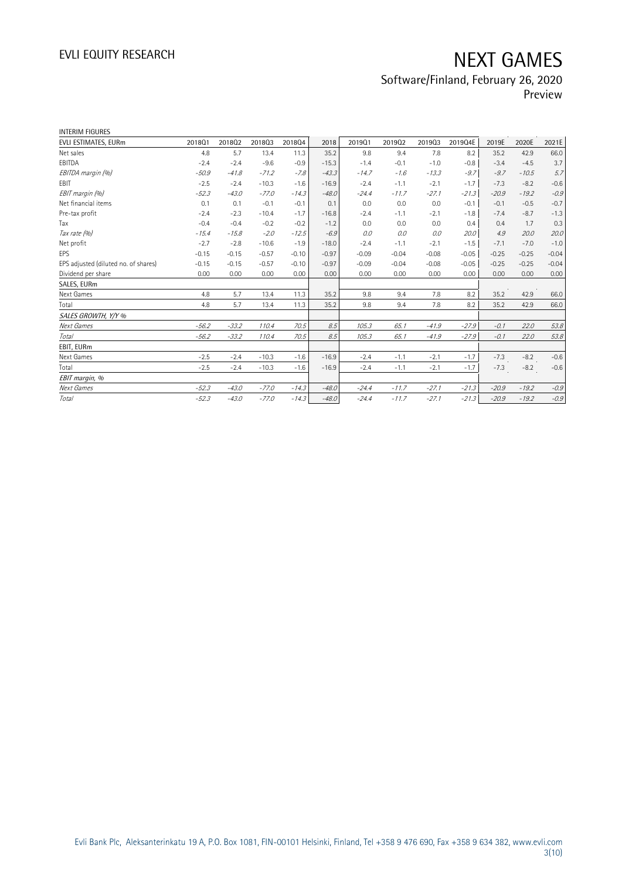# Software/Finland, February 26, 2020

Preview

| INTERIM FIGURES                      |         |         |         |         |         |         |         |         |         |         |         |         |
|--------------------------------------|---------|---------|---------|---------|---------|---------|---------|---------|---------|---------|---------|---------|
| EVLI ESTIMATES, EURm                 | 201801  | 201802  | 201803  | 201804  | 2018    | 201901  | 201902  | 201903  | 2019Q4E | 2019E   | 2020E   | 2021E   |
| Net sales                            | 4.8     | 5.7     | 13.4    | 11.3    | 35.2    | 9.8     | 9.4     | 7.8     | 8.2     | 35.2    | 42.9    | 66.0    |
| EBITDA                               | $-2.4$  | $-2.4$  | $-9.6$  | $-0.9$  | $-15.3$ | $-1.4$  | $-0.1$  | $-1.0$  | $-0.8$  | $-3.4$  | $-4.5$  | 3.7     |
| EBITDA margin (%)                    | $-50.9$ | $-41.8$ | $-71.2$ | $-7.8$  | $-43.3$ | $-14.7$ | $-1.6$  | $-13.3$ | $-9.7$  | $-9.7$  | $-10.5$ | 5.7     |
| EBIT                                 | $-2.5$  | $-2.4$  | $-10.3$ | $-1.6$  | $-16.9$ | $-2.4$  | $-1.1$  | $-2.1$  | $-1.7$  | $-7.3$  | $-8.2$  | $-0.6$  |
| EBIT margin (%)                      | $-52.3$ | $-43.0$ | $-77.0$ | $-14.3$ | $-48.0$ | $-24.4$ | $-11.7$ | $-27.1$ | $-21.3$ | $-20.9$ | $-19.2$ | $-0.9$  |
| Net financial items                  | 0.1     | 0.1     | $-0.1$  | $-0.1$  | 0.1     | 0.0     | 0.0     | 0.0     | $-0.1$  | $-0.1$  | $-0.5$  | $-0.7$  |
| Pre-tax profit                       | $-2.4$  | $-2.3$  | $-10.4$ | $-1.7$  | $-16.8$ | $-2.4$  | $-1.1$  | $-2.1$  | $-1.8$  | $-7.4$  | $-8.7$  | $-1.3$  |
| Tax                                  | $-0.4$  | $-0.4$  | $-0.2$  | $-0.2$  | $-1.2$  | 0.0     | 0.0     | 0.0     | 0.4     | 0.4     | 1.7     | 0.3     |
| Tax rate (%)                         | $-15.4$ | $-15.8$ | $-2.0$  | $-12.5$ | $-6.9$  | 0.0     | 0.0     | 0.0     | 20.0    | 4.9     | 20.0    | 20.0    |
| Net profit                           | $-2.7$  | $-2.8$  | $-10.6$ | $-1.9$  | $-18.0$ | $-2.4$  | $-1.1$  | $-2.1$  | $-1.5$  | $-7.1$  | $-7.0$  | $-1.0$  |
| EPS                                  | $-0.15$ | $-0.15$ | $-0.57$ | $-0.10$ | $-0.97$ | $-0.09$ | $-0.04$ | $-0.08$ | $-0.05$ | $-0.25$ | $-0.25$ | $-0.04$ |
| EPS adjusted (diluted no. of shares) | $-0.15$ | $-0.15$ | $-0.57$ | $-0.10$ | $-0.97$ | $-0.09$ | $-0.04$ | $-0.08$ | $-0.05$ | $-0.25$ | $-0.25$ | $-0.04$ |
| Dividend per share                   | 0.00    | 0.00    | 0.00    | 0.00    | 0.00    | 0.00    | 0.00    | 0.00    | 0.00    | 0.00    | 0.00    | 0.00    |
| SALES, EURm                          |         |         |         |         |         |         |         |         |         |         |         |         |
| Next Games                           | 4.8     | 5.7     | 13.4    | 11.3    | 35.2    | 9.8     | 9.4     | 7.8     | 8.2     | 35.2    | 42.9    | 66.0    |
| Total                                | 4.8     | 5.7     | 13.4    | 11.3    | 35.2    | 9.8     | 9.4     | 7.8     | 8.2     | 35.2    | 42.9    | 66.0    |
| SALES GROWTH, Y/Y %                  |         |         |         |         |         |         |         |         |         |         |         |         |
| Next Games                           | $-56.2$ | $-33.2$ | 110.4   | 70.5    | 8.5     | 105.3   | 65.1    | $-41.9$ | $-27.9$ | $-0.1$  | 22.0    | 53.8    |
| <b>Total</b>                         | $-56.2$ | $-33.2$ | 110.4   | 70.5    | 8.5     | 105.3   | 65.1    | $-41.9$ | $-27.9$ | $-0.1$  | 22.0    | 53.8    |
| EBIT, EURm                           |         |         |         |         |         |         |         |         |         |         |         |         |
| Next Games                           | $-2.5$  | $-2.4$  | $-10.3$ | $-1.6$  | $-16.9$ | $-2.4$  | $-1.1$  | $-2.1$  | $-1.7$  | $-7.3$  | $-8.2$  | $-0.6$  |
| Total                                | $-2.5$  | $-2.4$  | $-10.3$ | $-1.6$  | $-16.9$ | $-2.4$  | $-1.1$  | $-2.1$  | $-1.7$  | $-7.3$  | $-8.2$  | $-0.6$  |
| EBIT margin, %                       |         |         |         |         |         |         |         |         |         |         |         |         |
| Next Games                           | $-52.3$ | $-43.0$ | $-77.0$ | $-14.3$ | $-48.0$ | $-24.4$ | $-11.7$ | $-27.1$ | $-21.3$ | $-20.9$ | $-19.2$ | $-0.9$  |
| Total                                | $-52.3$ | $-43.0$ | $-77.0$ | $-14.3$ | $-48.0$ | $-24.4$ | $-11.7$ | $-27.1$ | $-21.3$ | $-20.9$ | $-19.2$ | $-0.9$  |
|                                      |         |         |         |         |         |         |         |         |         |         |         |         |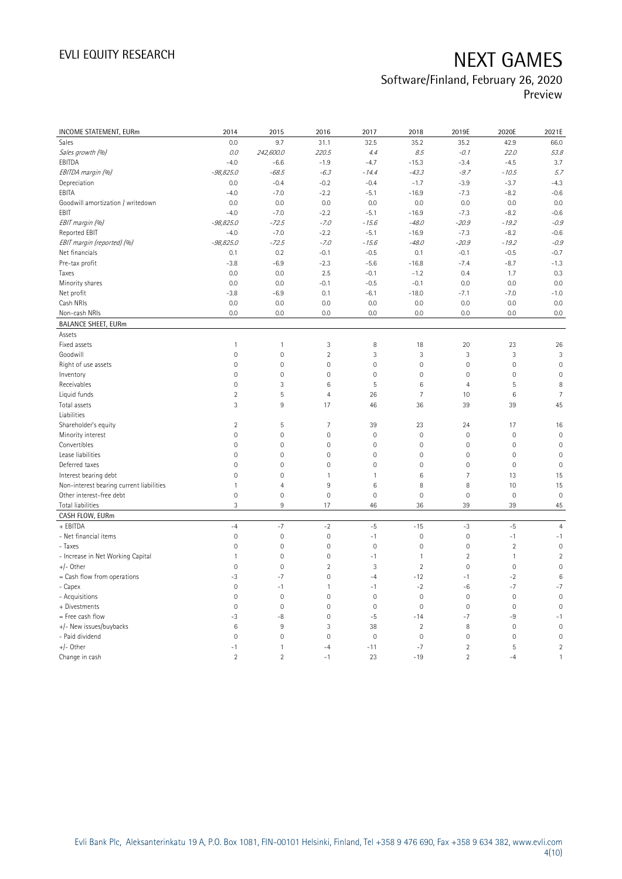## Software/Finland, February 26, 2020

Preview

| INCOME STATEMENT, EURm                   | 2014                | 2015           | 2016                | 2017                | 2018            | 2019E               | 2020E               | 2021E          |
|------------------------------------------|---------------------|----------------|---------------------|---------------------|-----------------|---------------------|---------------------|----------------|
| Sales                                    | 0.0                 | 9.7            | 31.1                | 32.5                | 35.2            | 35.2                | 42.9                | 66.0           |
| Sales growth (%)                         | 0.0                 | 242,600.0      | 220.5               | 4.4                 | 8.5             | $-0.1$              | 22.0                | 53.8           |
| EBITDA                                   | $-4.0$              | $-6.6$         | $-1.9$              | $-4.7$              | $-15.3$         | $-3.4$              | $-4.5$              | 3.7            |
| EBITDA margin (%)                        | $-98,825.0$         | $-68.5$        | $-6.3$              | $-14.4$             | $-43.3$         | $-9.7$              | $-10.5$             | 5.7            |
| Depreciation                             | 0.0                 | $-0.4$         | $-0.2$              | $-0.4$              | $-1.7$          | $-3.9$              | $-3.7$              | $-4.3$         |
| EBITA                                    | $-4.0$              | $-7.0$         | $-2.2$              | $-5.1$              | $-16.9$         | $-7.3$              | $-8.2$              | $-0.6$         |
| Goodwill amortization / writedown        | 0.0                 | 0.0            | 0.0                 | 0.0                 | 0.0             | 0.0                 | 0.0                 | 0.0            |
| EBIT                                     | $-4.0$              | $-7.0$         | $-2.2$              | $-5.1$              | $-16.9$         | $-7.3$              | $-8.2$              | $-0.6$         |
| EBIT margin (%)                          | $-98,825.0$         | $-72.5$        | $-7.0$              | $-15.6$             | $-48.0$         | $-20.9$             | $-19.2$             | $-0.9$         |
| Reported EBIT                            | $-4.0$              | $-7.0$         | $-2.2$              | $-5.1$              | $-16.9$         | $-7.3$              | $-8.2$              | $-0.6$         |
| EBIT margin (reported) (%)               | $-98,825.0$         | $-72.5$        | $-7.0$              | $-15.6$             | $-48.0$         | $-20.9$             | $-19.2$             | $-0.9$         |
| Net financials                           | 0.1                 | 0.2            | $-0.1$              | $-0.5$              | 0.1             | $-0.1$              | $-0.5$              | $-0.7$         |
| Pre-tax profit                           | $-3.8$              | $-6.9$         | $-2.3$              | $-5.6$              | $-16.8$         | $-7.4$              | $-8.7$              | $-1.3$         |
| Taxes                                    | 0.0                 | 0.0            | 2.5                 | $-0.1$              | $-1.2$          | 0.4                 | 1.7                 | 0.3            |
| Minority shares                          | 0.0                 | 0.0            | $-0.1$              | $-0.5$              | $-0.1$          | 0.0                 | 0.0                 | 0.0            |
| Net profit                               | $-3.8$              | $-6.9$         | 0.1                 | $-6.1$              | $-18.0$         | $-7.1$              | $-7.0$              | $-1.0$         |
| Cash NRIs                                | 0.0                 | 0.0            | 0.0                 | 0.0                 | 0.0             | 0.0                 | 0.0                 | 0.0            |
| Non-cash NRIs                            | 0.0                 | 0.0            | 0.0                 | 0.0                 | 0.0             | 0.0                 | 0.0                 | 0.0            |
| <b>BALANCE SHEET, EURm</b>               |                     |                |                     |                     |                 |                     |                     |                |
| Assets                                   |                     |                |                     |                     |                 |                     |                     |                |
| Fixed assets                             | $\mathbf{1}$        | $\mathbf{1}$   | 3                   | 8                   | 18              | 20                  | 23                  | 26             |
| Goodwill                                 | $\mathsf{O}\xspace$ | $\mathbf 0$    | $\overline{2}$      | 3                   | 3               | $\mathfrak{Z}$      | $\mathfrak{Z}$      | 3              |
| Right of use assets                      | $\mathbf 0$         | $\mathbf 0$    | $\overline{0}$      | $\mathbf 0$         | $\mathbf{0}$    | $\mathbf 0$         | $\mathbf{0}$        | $\mathbb O$    |
| Inventory                                | $\mathbf{0}$        | $\mathbf 0$    | $\mathsf{O}\xspace$ | $\mathsf{O}\xspace$ | $\mathbf 0$     | $\mathbf 0$         | $\mathbf 0$         | $\mathbf 0$    |
| Receivables                              | $\mathbf 0$         | 3              | $\,6$               | 5                   | $6\phantom{1}6$ | $\overline{4}$      | 5                   | 8              |
| Liquid funds                             | $\overline{2}$      | 5              | $\overline{4}$      | 26                  | $\overline{7}$  | 10                  | 6                   | $\overline{7}$ |
| Total assets                             | 3                   | 9              | 17                  | 46                  | 36              | 39                  | 39                  | 45             |
| Liabilities                              |                     |                |                     |                     |                 |                     |                     |                |
| Shareholder's equity                     | $\overline{2}$      | 5              | $\overline{7}$      | 39                  | 23              | 24                  | 17                  | 16             |
| Minority interest                        | $\mathsf{O}\xspace$ | $\mathbf 0$    | $\mathsf{O}\xspace$ | $\mathsf{O}\xspace$ | $\mathbf 0$     | $\mathbf 0$         | $\mathbf 0$         | $\mathbf 0$    |
| Convertibles                             | $\mathbf 0$         | $\mathbf{0}$   | $\mathsf{O}\xspace$ | $\mathsf{O}\xspace$ | $\mathbf 0$     | $\mathsf{O}\xspace$ | $\mathbf 0$         | $\mathbf 0$    |
| Lease liabilities                        | $\mathbf{0}$        | $\mathbf 0$    | $\overline{0}$      | $\mathbf 0$         | $\mathbf{0}$    | $\mathbf{0}$        | $\mathbf 0$         | $\overline{0}$ |
| Deferred taxes                           | $\mathbb O$         | $\mathbf 0$    | $\mathsf{O}\xspace$ | $\mathsf{O}\xspace$ | $\mathbf 0$     | $\mathsf{O}\xspace$ | $\mathsf{O}\xspace$ | $\mathbf 0$    |
| Interest bearing debt                    | $\mathbf{0}$        | $\mathbf 0$    | $\mathbf{1}$        | $\mathbf{1}$        | $6\phantom{1}6$ | $\overline{7}$      | 13                  | 15             |
| Non-interest bearing current liabilities | 1                   | $\overline{4}$ | 9                   | $\,6\,$             | 8               | 8                   | 10                  | 15             |
| Other interest-free debt                 | $\mathsf{O}\xspace$ | $\mathbf 0$    | $\mathbf 0$         | $\mathbf 0$         | $\mathbf 0$     | $\mathbf 0$         | $\mathsf{O}\xspace$ | $\mathbf 0$    |
| Total liabilities                        | 3                   | 9              | 17                  | 46                  | 36              | 39                  | 39                  | $45\,$         |
| CASH FLOW, EURm                          |                     |                |                     |                     |                 |                     |                     |                |
| + EBITDA                                 | $-4$                | $-7$           | $-2$                | $-5$                | $-15$           | $-3$                | $-5$                | $\overline{4}$ |
| - Net financial items                    | $\mathsf{O}\xspace$ | $\mathbf 0$    | $\mathsf{O}\xspace$ | $-1$                | $\mathbf 0$     | $\mathsf{O}\xspace$ | $-1$                | $-1$           |
| - Taxes                                  | $\mathbf 0$         | $\mathbf 0$    | $\mathsf{O}\xspace$ | $\mathsf{O}\xspace$ | $\mathbf 0$     | $\mathsf{O}\xspace$ | $\overline{2}$      | $\mathbf 0$    |
| - Increase in Net Working Capital        | 1                   | $\mathbf 0$    | $\mathsf{O}\xspace$ | $-1$                | $\mathbf{1}$    | $\overline{2}$      | $\mathbf{1}$        | $\overline{2}$ |
| $+/-$ Other                              | $\mathbf 0$         | $\mathbf 0$    | $\overline{2}$      | 3                   | $\overline{2}$  | $\mathbf 0$         | $\mathbf 0$         | $\mathbf 0$    |
| = Cash flow from operations              | $-3$                | $-7$           | $\overline{0}$      | $-4$                | $-12$           | $-1$                | $-2$                | $\,6$          |
| - Capex                                  | $\mathbb O$         | $-1$           | $\mathbf{1}$        | $-1$                | $-2$            | $-6$                | $-7$                | $-7$           |
| - Acquisitions                           | $\mathbf{0}$        | $\mathbf{0}$   | $\mathbf 0$         | $\mathbb O$         | $\mathbf 0$     | $\mathsf{O}\xspace$ | $\mathbf 0$         | $\mathbf 0$    |
| + Divestments                            | $\mathbf 0$         | $\mathbf 0$    | $\mathsf{O}\xspace$ | $\mathsf{O}\xspace$ | $\mathbf 0$     | $\mathsf{O}\xspace$ | $\mathsf{O}\xspace$ | $\mathbf 0$    |
| = Free cash flow                         | $-3$                | $-8$           | $\mathsf{O}\xspace$ | $-5$                | $-14$           | $-7$                | -9                  | $-1$           |
| +/- New issues/buybacks                  | $6\phantom{1}$      | 9              | 3                   | 38                  | $\overline{2}$  | 8                   | $\mathbf 0$         | $\overline{0}$ |
| - Paid dividend                          | $\mathbf 0$         | $\mathbf 0$    | $\mathsf{O}\xspace$ | $\mathsf{O}\xspace$ | $\mathbf 0$     | $\mathsf{O}\xspace$ | $\mathsf{O}\xspace$ | $\mathbf 0$    |
| +/- Other                                | $-1$                | $\mathbf{1}$   | $-4$                | $-11$               | $-7$            | $\overline{2}$      | 5                   | $\overline{2}$ |
| Change in cash                           | $\overline{2}$      | $\overline{2}$ | $-1$                | 23                  | $-19$           | $\overline{2}$      | $-4$                | $\mathbf{1}$   |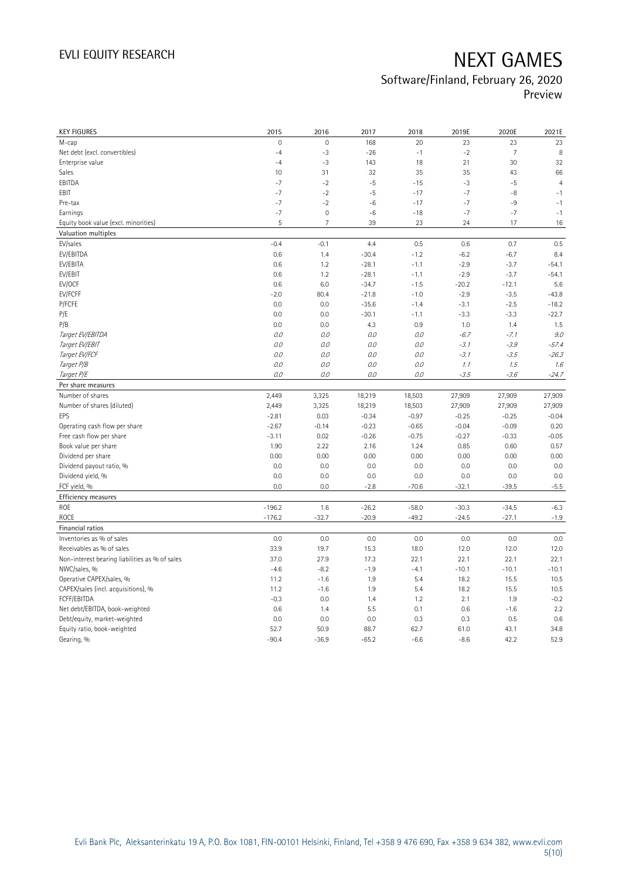# Software/Finland, February 26, 2020

Preview

| <b>KEY FIGURES</b>                                                          | 2015                 | 2016                | 2017               | 2018               | 2019E             | 2020E             | 2021E             |
|-----------------------------------------------------------------------------|----------------------|---------------------|--------------------|--------------------|-------------------|-------------------|-------------------|
| M-cap                                                                       | $\overline{0}$       | $\mathsf{O}\xspace$ | 168                | 20                 | 23                | 23                | 23                |
| Net debt (excl. convertibles)                                               | $-4$                 | $-3$                | $-26$              | $-1$               | $-2$              | $\overline{7}$    | 8                 |
| Enterprise value                                                            | $-4$                 | $-3$                | 143                | 18                 | 21                | 30                | 32                |
| Sales                                                                       | 10                   | 31                  | 32                 | 35                 | 35                | 43                | 66                |
| EBITDA                                                                      | $-7$                 | $-2$                | $-5$               | $-15$              | $-3$              | $-5$              | $\overline{4}$    |
| EBIT                                                                        | $-7$                 | $-2$                | $-5$               | $-17$              | $-7$              | -8                | $-1$              |
| Pre-tax                                                                     | $-7$                 | $-2$                | $-6$               | $-17$              | $-7$              | $-9$              | $-1$              |
| Earnings                                                                    | $-7$                 | $\mathbf 0$         | $-6$               | $-18$              | $-7$              | $-7$              | $-1$              |
| Equity book value (excl. minorities)                                        | 5                    | $\overline{7}$      | 39                 | 23                 | 24                | 17                | $16\,$            |
| Valuation multiples                                                         |                      |                     |                    |                    |                   |                   |                   |
| EV/sales                                                                    | $-0.4$               | $-0.1$              | 4.4                | 0.5                | 0.6               | 0.7               | 0.5               |
| EV/EBITDA                                                                   | 0.6                  | 1.4                 | $-30.4$            | $-1.2$             | $-6.2$            | $-6.7$            | 8.4               |
| EV/EBITA                                                                    | 0.6                  | 1.2                 | $-28.1$            | $-1.1$             | $-2.9$            | $-3.7$            | $-54.1$           |
| EV/EBIT                                                                     | 0.6                  | 1.2                 | $-28.1$            | $-1.1$             | $-2.9$            | $-3.7$            | $-54.1$           |
| EV/OCF                                                                      | 0.6                  | 6.0                 | $-34.7$            | $-1.5$             | $-20.2$           | $-12.1$           | 5.6               |
| EV/FCFF                                                                     | $-2.0$               | 80.4                | $-21.8$            | $-1.0$             | $-2.9$            | $-3.5$            | $-43.8$           |
| P/FCFE                                                                      | 0.0                  | 0.0                 | $-35.6$            | $-1.4$             | $-3.1$            | $-2.5$            | $-18.2$           |
| P/E                                                                         | 0.0                  | 0.0                 | $-30.1$            | $-1.1$             | $-3.3$            | $-3.3$            | $-22.7$           |
| P/B                                                                         | 0.0                  | 0.0                 | 4.3                | 0.9                | 1.0               | 1.4               | 1.5               |
| Target EV/EBITDA                                                            | 0.0                  | O.O                 | 0.0                | 0.0                | $-6.7$            | $-7.1$            | 9.0               |
| Target EV/EBIT                                                              | 0.0                  | 0.0                 | 0.0                | 0.0                | $-3.1$            | $-3.9$            | $-57.4$           |
| Target EV/FCF                                                               | 0.0                  | $O.O$               | 0.0                | 0.0                | $-3.1$            | $-3.5$            | $-26.3$           |
| Target P/B                                                                  | 0.0                  | O.O                 | 0.0                | 0.0                | 1.1               | 1.5               | 1.6               |
| Target P/E                                                                  | 0.0                  | 0.0                 | 0.0                | 0.0                | $-3.5$            | $-3.6$            | $-24.7$           |
| Per share measures                                                          |                      |                     |                    |                    |                   |                   |                   |
|                                                                             |                      |                     |                    |                    |                   |                   |                   |
| Number of shares                                                            | 2,449                |                     |                    | 18,503             |                   |                   |                   |
| Number of shares (diluted)                                                  | 2,449                | 3,325               | 18,219             | 18,503             | 27,909            | 27,909            | 27,909            |
| EPS                                                                         | $-2.81$              | 3,325<br>0.03       | 18,219<br>$-0.34$  | $-0.97$            | 27,909<br>$-0.25$ | 27,909<br>$-0.25$ | 27,909<br>$-0.04$ |
| Operating cash flow per share                                               | $-2.67$              | $-0.14$             | $-0.23$            | $-0.65$            | $-0.04$           | $-0.09$           | 0.20              |
| Free cash flow per share                                                    | $-3.11$              | 0.02                | $-0.26$            | $-0.75$            | $-0.27$           | $-0.33$           | $-0.05$           |
| Book value per share                                                        | 1.90                 | 2.22                | 2.16               | 1.24               | 0.85              | 0.60              | 0.57              |
| Dividend per share                                                          | 0.00                 | 0.00                | 0.00               | 0.00               | 0.00              | 0.00              | 0.00              |
|                                                                             | 0.0                  | 0.0                 | 0.0                | 0.0                | 0.0               | 0.0               | 0.0               |
| Dividend payout ratio, %<br>Dividend yield, %                               | 0.0                  | 0.0                 | 0.0                | 0.0                | 0.0               | 0.0               | 0.0               |
| FCF yield, %                                                                | 0.0                  | 0.0                 | $-2.8$             | $-70.6$            | $-32.1$           | $-39.5$           | $-5.5$            |
|                                                                             |                      |                     |                    |                    |                   |                   |                   |
| Efficiency measures<br><b>ROE</b>                                           |                      |                     |                    |                    | $-30.3$           | $-34.5$           |                   |
| ROCE                                                                        | $-196.2$<br>$-176.2$ | 1.6<br>$-32.7$      | $-26.2$<br>$-20.9$ | $-58.0$<br>$-49.2$ | $-24.5$           | $-27.1$           | $-6.3$<br>$-1.9$  |
| Financial ratios                                                            |                      |                     |                    |                    |                   |                   |                   |
| Inventories as % of sales                                                   | 0.0                  | 0.0                 | 0.0                | 0.0                | 0.0               | 0.0               | 0.0               |
|                                                                             | 33.9                 |                     |                    |                    |                   |                   |                   |
| Receivables as % of sales<br>Non-interest bearing liabilities as % of sales | 37.0                 | 19.7<br>27.9        | 15.3<br>17.3       | 18.0<br>22.1       | 12.0<br>22.1      | 12.0<br>22.1      | 12.0<br>22.1      |
| NWC/sales, %                                                                | $-4.6$               |                     | $-1.9$             |                    | $-10.1$           | $-10.1$           | $-10.1$           |
|                                                                             | 11.2                 | $-8.2$<br>$-1.6$    | 1.9                | $-4.1$<br>5.4      | 18.2              | 15.5              | 10.5              |
| Operative CAPEX/sales, %<br>CAPEX/sales (incl. acquisitions), %             | 11.2                 | $-1.6$              | 1.9                | 5.4                | 18.2              | 15.5              | 10.5              |
| FCFF/EBITDA                                                                 | $-0.3$               | 0.0                 | 1.4                | 1.2                | 2.1               | 1.9               | $-0.2$            |
| Net debt/EBITDA, book-weighted                                              | 0.6                  | 1.4                 | 5.5                | 0.1                | 0.6               | $-1.6$            | 2.2               |
| Debt/equity, market-weighted                                                | 0.0                  | 0.0                 | 0.0                | 0.3                | 0.3               | 0.5               | 0.6               |
| Equity ratio, book-weighted                                                 | 52.7                 | 50.9                | 88.7               | 62.7               | 61.0              | 43.1              | 34.8              |
| Gearing, %                                                                  | $-90.4$              | $-36.9$             | $-65.2$            | $-6.6$             | $-8.6$            | 42.2              | 52.9              |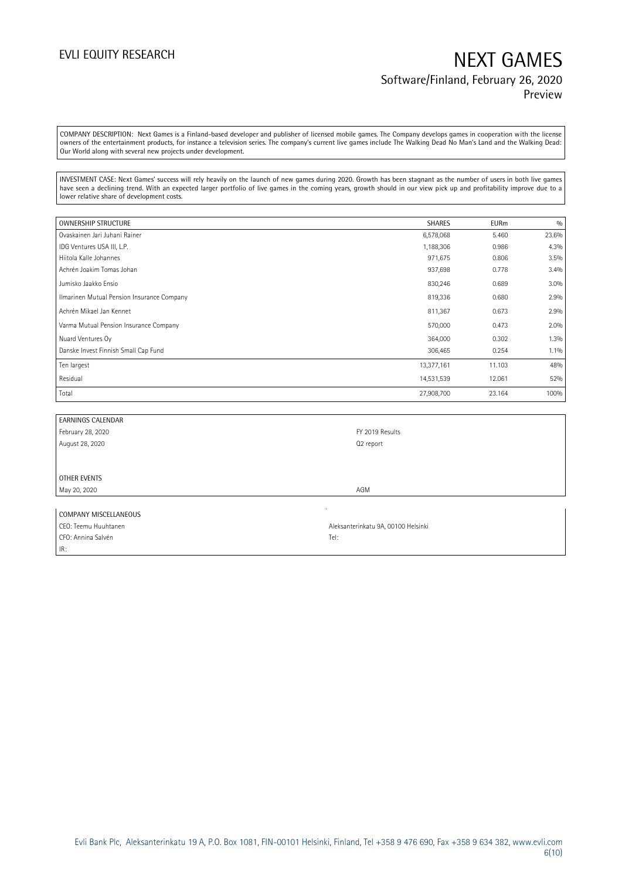### EVLI EQUITY RESEARCH NEXT GAMES Software/Finland, February 26, 2020 Preview

COMPANY DESCRIPTION: Next Games is a Finland-based developer and publisher of licensed mobile games. The Company develops games in cooperation with the license owners of the entertainment products, for instance a television series. The company's current live games include The Walking Dead No Man's Land and the Walking Dead: Our World along with several new projects under development.

INVESTMENT CASE: Next Games' success will rely heavily on the launch of new games during 2020. Growth has been stagnant as the number of users in both live games have seen a declining trend. With an expected larger portfolio of live games in the coming years, growth should in our view pick up and profitability improve due to a lower relative share of development costs.

| OWNERSHIP STRUCTURE                        | <b>SHARES</b> | <b>EURm</b> | 0/0     |
|--------------------------------------------|---------------|-------------|---------|
| Ovaskainen Jari Juhani Rainer              | 6,578,068     | 5.460       | 23.6%   |
| IDG Ventures USA III, L.P.                 | 1,188,306     | 0.986       | 4.3%    |
| Hiitola Kalle Johannes                     | 971,675       | 0.806       | 3.5%    |
| Achrén Joakim Tomas Johan                  | 937,698       | 0.778       | 3.4%    |
| Jumisko Jaakko Ensio                       | 830,246       | 0.689       | 3.0%    |
| Ilmarinen Mutual Pension Insurance Company | 819,336       | 0.680       | 2.9%    |
| Achrén Mikael Jan Kennet                   | 811,367       | 0.673       | 2.9%    |
| Varma Mutual Pension Insurance Company     | 570,000       | 0.473       | 2.0%    |
| Nuard Ventures Oy                          | 364,000       | 0.302       | 1.3%    |
| Danske Invest Finnish Small Cap Fund       | 306,465       | 0.254       | $1.1\%$ |
| Ten largest                                | 13,377,161    | 11.103      | 48%     |
| Residual                                   | 14,531,539    | 12.061      | 52%     |
| Total                                      | 27,908,700    | 23.164      | 100%    |

| <b>EARNINGS CALENDAR</b> |                 |
|--------------------------|-----------------|
| February 28, 2020        | FY 2019 Results |
| August 28, 2020          | Q2 report       |
|                          |                 |
|                          |                 |
| OTHER EVENTS             |                 |
| May 20, 2020             | AGM             |
|                          |                 |
| COMPANY MISCELLANEOUS    |                 |
|                          |                 |

| CEO: Teemu Huuhtanen | Aleksanterinkatu 9A, 00100 Helsinki |
|----------------------|-------------------------------------|
| CFO: Annina Salvén   | Tel:                                |
| IR:                  |                                     |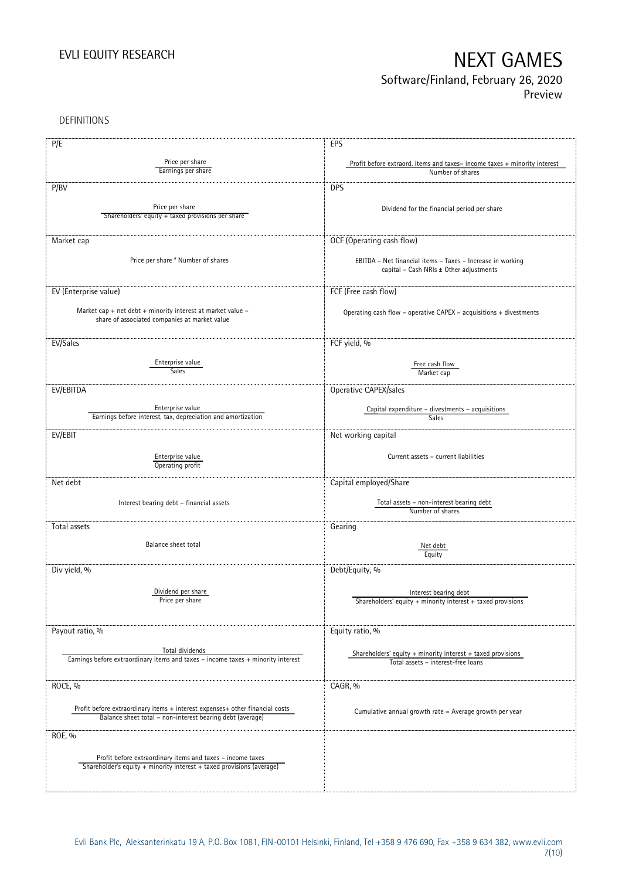# Software/Finland, February 26, 2020

Preview

DEFINITIONS

| P/E                                                                                                            | EPS                                                                      |
|----------------------------------------------------------------------------------------------------------------|--------------------------------------------------------------------------|
|                                                                                                                |                                                                          |
| Price per share<br>Earnings per share                                                                          | Profit before extraord. items and taxes-income taxes + minority interest |
|                                                                                                                | Number of shares                                                         |
| P/BV                                                                                                           | <b>DPS</b>                                                               |
|                                                                                                                |                                                                          |
| Price per share                                                                                                | Dividend for the financial period per share                              |
| Shareholders' equity + taxed provisions per share                                                              |                                                                          |
|                                                                                                                |                                                                          |
| Market cap                                                                                                     | OCF (Operating cash flow)                                                |
|                                                                                                                |                                                                          |
| Price per share * Number of shares                                                                             | EBITDA - Net financial items - Taxes - Increase in working               |
|                                                                                                                | capital - Cash NRIs ± Other adjustments                                  |
|                                                                                                                |                                                                          |
| EV (Enterprise value)                                                                                          | FCF (Free cash flow)                                                     |
|                                                                                                                |                                                                          |
| Market cap + net debt + minority interest at market value $-$<br>share of associated companies at market value | Operating cash flow – operative CAPEX – acquisitions $+$ divestments     |
|                                                                                                                |                                                                          |
|                                                                                                                |                                                                          |
| EV/Sales                                                                                                       | FCF yield, %                                                             |
|                                                                                                                |                                                                          |
| Enterprise value<br>Sales                                                                                      | Free cash flow                                                           |
|                                                                                                                | Market cap                                                               |
| EV/EBITDA                                                                                                      | Operative CAPEX/sales                                                    |
|                                                                                                                |                                                                          |
| Enterprise value                                                                                               | Capital expenditure – divestments – acquisitions                         |
| Earnings before interest, tax, depreciation and amortization                                                   | Sales                                                                    |
| EV/EBIT                                                                                                        | Net working capital                                                      |
|                                                                                                                |                                                                          |
|                                                                                                                | Current assets - current liabilities                                     |
| Enterprise value<br>Operating profit                                                                           |                                                                          |
|                                                                                                                |                                                                          |
| Net debt                                                                                                       | Capital employed/Share                                                   |
|                                                                                                                |                                                                          |
| Interest bearing debt - financial assets                                                                       | Total assets - non-interest bearing debt                                 |
|                                                                                                                | Number of shares                                                         |
| Total assets                                                                                                   | Gearing                                                                  |
|                                                                                                                |                                                                          |
| Balance sheet total                                                                                            | Net debt                                                                 |
|                                                                                                                | Equity                                                                   |
| Div yield, %                                                                                                   | Debt/Equity, %                                                           |
|                                                                                                                |                                                                          |
| Dividend per share                                                                                             | Interest bearing debt                                                    |
| Price per share                                                                                                | Shareholders' equity + minority interest + taxed provisions              |
|                                                                                                                |                                                                          |
|                                                                                                                |                                                                          |
| Payout ratio, %                                                                                                | Equity ratio, %                                                          |
|                                                                                                                |                                                                          |
| Total dividends<br>Earnings before extraordinary items and taxes - income taxes + minority interest            | Shareholders' equity $+$ minority interest $+$ taxed provisions          |
|                                                                                                                | Total assets - interest-free loans                                       |
|                                                                                                                |                                                                          |
| ROCE, %                                                                                                        | CAGR, %                                                                  |
|                                                                                                                |                                                                          |
| Profit before extraordinary items + interest expenses+ other financial costs                                   | Cumulative annual growth rate = Average growth per year                  |
| Balance sheet total - non-interest bearing debt (average)                                                      |                                                                          |
|                                                                                                                |                                                                          |
| ROE, %                                                                                                         |                                                                          |
|                                                                                                                |                                                                          |
| Profit before extraordinary items and taxes - income taxes                                                     |                                                                          |
| Shareholder's equity + minority interest + taxed provisions (average)                                          |                                                                          |
|                                                                                                                |                                                                          |
|                                                                                                                |                                                                          |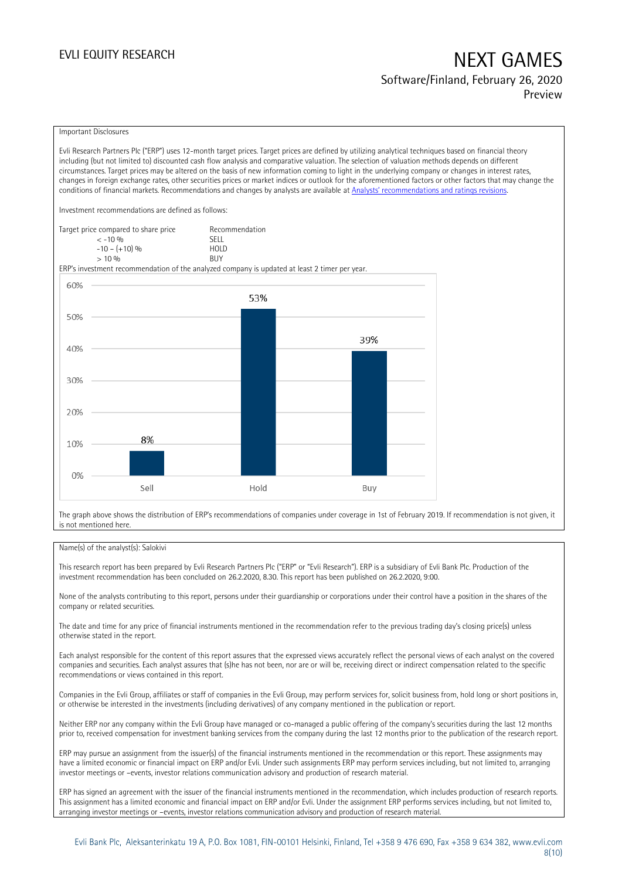## EVLI EQUITY RESEARCH NEXT GAMES Software/Finland, February 26, 2020

Preview

### Important Disclosures

Evli Research Partners Plc ("ERP") uses 12-month target prices. Target prices are defined by utilizing analytical techniques based on financial theory including (but not limited to) discounted cash flow analysis and comparative valuation. The selection of valuation methods depends on different circumstances. Target prices may be altered on the basis of new information coming to light in the underlying company or changes in interest rates, changes in foreign exchange rates, other securities prices or market indices or outlook for the aforementioned factors or other factors that may change the conditions of financial markets. Recommendations and changes by analysts are available at [Analysts' recommendations and ratings revisions](https://research.evli.com/JasperAllModels.action?authParam=key;461&authParam=x;G3rNagWrtf7K&authType=3).

Investment recommendations are defined as follows:

| Target price compared to share price | Recommendation                |
|--------------------------------------|-------------------------------|
| $<-10.06$                            | SELL.                         |
| $-10 - (+10)$ %                      | H <sub>O</sub> I <sub>D</sub> |
| > 10%                                | <b>BUY</b>                    |

ERP's investment recommendation of the analyzed company is updated at least 2 timer per year.



The graph above shows the distribution of ERP's recommendations of companies under coverage in 1st of February 2019. If recommendation is not given, it is not mentioned here.

### Name(s) of the analyst(s): Salokivi

This research report has been prepared by Evli Research Partners Plc ("ERP" or "Evli Research"). ERP is a subsidiary of Evli Bank Plc. Production of the investment recommendation has been concluded on 26.2.2020, 8.30. This report has been published on 26.2.2020, 9:00.

None of the analysts contributing to this report, persons under their guardianship or corporations under their control have a position in the shares of the company or related securities.

The date and time for any price of financial instruments mentioned in the recommendation refer to the previous trading day's closing price(s) unless otherwise stated in the report.

Each analyst responsible for the content of this report assures that the expressed views accurately reflect the personal views of each analyst on the covered companies and securities. Each analyst assures that (s)he has not been, nor are or will be, receiving direct or indirect compensation related to the specific recommendations or views contained in this report.

Companies in the Evli Group, affiliates or staff of companies in the Evli Group, may perform services for, solicit business from, hold long or short positions in, or otherwise be interested in the investments (including derivatives) of any company mentioned in the publication or report.

Neither ERP nor any company within the Evli Group have managed or co-managed a public offering of the company's securities during the last 12 months prior to, received compensation for investment banking services from the company during the last 12 months prior to the publication of the research report.

ERP may pursue an assignment from the issuer(s) of the financial instruments mentioned in the recommendation or this report. These assignments may have a limited economic or financial impact on ERP and/or Evli. Under such assignments ERP may perform services including, but not limited to, arranging investor meetings or –events, investor relations communication advisory and production of research material.

ERP has signed an agreement with the issuer of the financial instruments mentioned in the recommendation, which includes production of research reports. This assignment has a limited economic and financial impact on ERP and/or Evli. Under the assignment ERP performs services including, but not limited to, arranging investor meetings or –events, investor relations communication advisory and production of research material.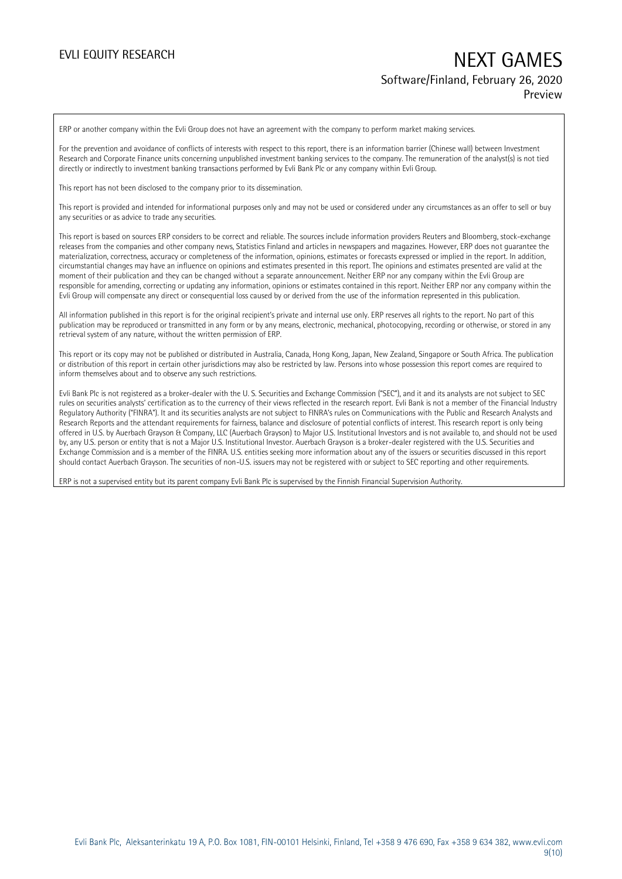### EVLI EQUITY RESEARCH NEXT GAMES Software/Finland, February 26, 2020 Preview

ERP or another company within the Evli Group does not have an agreement with the company to perform market making services.

For the prevention and avoidance of conflicts of interests with respect to this report, there is an information barrier (Chinese wall) between Investment Research and Corporate Finance units concerning unpublished investment banking services to the company. The remuneration of the analyst(s) is not tied directly or indirectly to investment banking transactions performed by Evli Bank Plc or any company within Evli Group.

This report has not been disclosed to the company prior to its dissemination.

This report is provided and intended for informational purposes only and may not be used or considered under any circumstances as an offer to sell or buy any securities or as advice to trade any securities.

This report is based on sources ERP considers to be correct and reliable. The sources include information providers Reuters and Bloomberg, stock-exchange releases from the companies and other company news, Statistics Finland and articles in newspapers and magazines. However, ERP does not guarantee the materialization, correctness, accuracy or completeness of the information, opinions, estimates or forecasts expressed or implied in the report. In addition, circumstantial changes may have an influence on opinions and estimates presented in this report. The opinions and estimates presented are valid at the moment of their publication and they can be changed without a separate announcement. Neither ERP nor any company within the Evli Group are responsible for amending, correcting or updating any information, opinions or estimates contained in this report. Neither ERP nor any company within the Evli Group will compensate any direct or consequential loss caused by or derived from the use of the information represented in this publication.

All information published in this report is for the original recipient's private and internal use only. ERP reserves all rights to the report. No part of this publication may be reproduced or transmitted in any form or by any means, electronic, mechanical, photocopying, recording or otherwise, or stored in any retrieval system of any nature, without the written permission of ERP.

This report or its copy may not be published or distributed in Australia, Canada, Hong Kong, Japan, New Zealand, Singapore or South Africa. The publication or distribution of this report in certain other jurisdictions may also be restricted by law. Persons into whose possession this report comes are required to inform themselves about and to observe any such restrictions.

Evli Bank Plc is not registered as a broker-dealer with the U. S. Securities and Exchange Commission ("SEC"), and it and its analysts are not subject to SEC rules on securities analysts' certification as to the currency of their views reflected in the research report. Evli Bank is not a member of the Financial Industry Regulatory Authority ("FINRA"). It and its securities analysts are not subject to FINRA's rules on Communications with the Public and Research Analysts and Research Reports and the attendant requirements for fairness, balance and disclosure of potential conflicts of interest. This research report is only being offered in U.S. by Auerbach Grayson & Company, LLC (Auerbach Grayson) to Major U.S. Institutional Investors and is not available to, and should not be used by, any U.S. person or entity that is not a Major U.S. Institutional Investor. Auerbach Grayson is a broker-dealer registered with the U.S. Securities and Exchange Commission and is a member of the FINRA. U.S. entities seeking more information about any of the issuers or securities discussed in this report should contact Auerbach Grayson. The securities of non-U.S. issuers may not be registered with or subject to SEC reporting and other requirements.

ERP is not a supervised entity but its parent company Evli Bank Plc is supervised by the Finnish Financial Supervision Authority.